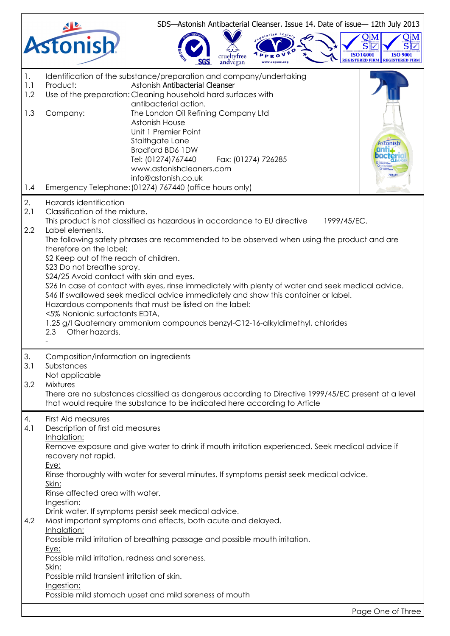|                                            |                                                                                                                                                                                                                                                                                                                 |                                                                                                                                                                                                                                                                                                                                                                                                                                                                                                                 |                                 |                     |             | SDS-Astonish Antibacterial Cleanser. Issue 14. Date of issue-12th July 2013 |
|--------------------------------------------|-----------------------------------------------------------------------------------------------------------------------------------------------------------------------------------------------------------------------------------------------------------------------------------------------------------------|-----------------------------------------------------------------------------------------------------------------------------------------------------------------------------------------------------------------------------------------------------------------------------------------------------------------------------------------------------------------------------------------------------------------------------------------------------------------------------------------------------------------|---------------------------------|---------------------|-------------|-----------------------------------------------------------------------------|
|                                            | <b>Astonish</b>                                                                                                                                                                                                                                                                                                 |                                                                                                                                                                                                                                                                                                                                                                                                                                                                                                                 | crueltv <b>tree</b><br>andvegan |                     |             | <b>ISO14001</b><br><b>ISO 9001</b><br>REGISTERED FIRM I REGISTERED FIRM     |
| $\mathbf{1}$ .<br>1.1<br>1.2<br>1.3<br>1.4 | Product:<br>Company:                                                                                                                                                                                                                                                                                            | Identification of the substance/preparation and company/undertaking<br>Astonish Antibacterial Cleanser<br>Use of the preparation: Cleaning household hard surfaces with<br>antibacterial action.<br>The London Oil Refining Company Ltd<br>Astonish House<br>Unit 1 Premier Point<br>Staithgate Lane<br>Bradford BD6 1DW<br>Tel: (01274)767440<br>www.astonishcleaners.com<br>info@astonish.co.uk<br>Emergency Telephone: (01274) 767440 (office hours only)                                                    |                                 | Fax: (01274) 726285 |             | stonish                                                                     |
| 2.<br>2.1<br>2.2                           | Hazards identification<br>Classification of the mixture.<br>Label elements.<br>therefore on the label;<br>S2 Keep out of the reach of children.<br>\$23 Do not breathe spray.<br>S24/25 Avoid contact with skin and eyes.<br><5% Nonionic surfactants EDTA,<br>Other hazards.<br>2.3                            | This product is not classified as hazardous in accordance to EU directive<br>The following safety phrases are recommended to be observed when using the product and are<br>\$26 In case of contact with eyes, rinse immediately with plenty of water and seek medical advice.<br>\$46 If swallowed seek medical advice immediately and show this container or label.<br>Hazardous components that must be listed on the label:<br>1.25 g/l Quaternary ammonium compounds benzyl-C12-16-alkyldimethyl, chlorides |                                 |                     | 1999/45/EC. |                                                                             |
| 3.<br>3.1<br>3.2                           | Composition/information on ingredients<br>Substances<br>Not applicable<br>Mixtures                                                                                                                                                                                                                              | There are no substances classified as dangerous according to Directive 1999/45/EC present at a level<br>that would require the substance to be indicated here according to Article                                                                                                                                                                                                                                                                                                                              |                                 |                     |             |                                                                             |
| 4.<br>4.1<br>4.2                           | First Aid measures<br>Description of first aid measures<br>Inhalation:<br>recovery not rapid.<br>Eye:<br>Skin:<br>Rinse affected area with water.<br>Ingestion:<br>Inhalation:<br>Eye:<br>Possible mild irritation, redness and soreness.<br>Skin:<br>Possible mild transient irritation of skin.<br>Ingestion: | Remove exposure and give water to drink if mouth irritation experienced. Seek medical advice if<br>Rinse thoroughly with water for several minutes. If symptoms persist seek medical advice.<br>Drink water. If symptoms persist seek medical advice.<br>Most important symptoms and effects, both acute and delayed.<br>Possible mild irritation of breathing passage and possible mouth irritation.<br>Possible mild stomach upset and mild soreness of mouth                                                 |                                 |                     |             |                                                                             |
|                                            |                                                                                                                                                                                                                                                                                                                 |                                                                                                                                                                                                                                                                                                                                                                                                                                                                                                                 |                                 |                     |             | Page One of Three                                                           |

 $\mathbf{r}$ 

L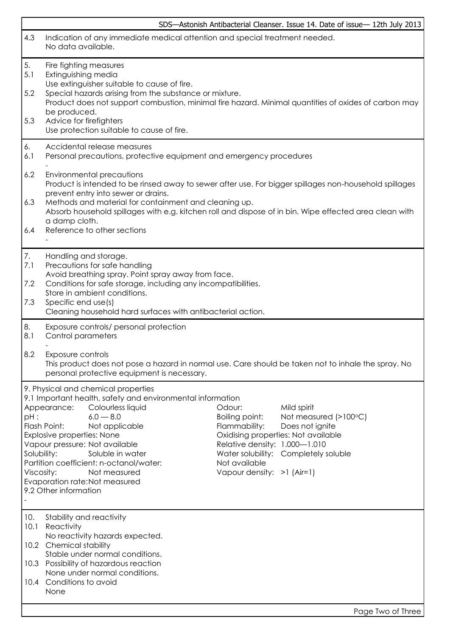|                                     | SDS-Astonish Antibacterial Cleanser. Issue 14. Date of issue-12th July 2013                                                                                                                                                                                                                                                                                                                                                                                                                                                                                                                                                                                             |  |  |  |  |  |
|-------------------------------------|-------------------------------------------------------------------------------------------------------------------------------------------------------------------------------------------------------------------------------------------------------------------------------------------------------------------------------------------------------------------------------------------------------------------------------------------------------------------------------------------------------------------------------------------------------------------------------------------------------------------------------------------------------------------------|--|--|--|--|--|
| 4.3                                 | Indication of any immediate medical attention and special treatment needed.<br>No data available.                                                                                                                                                                                                                                                                                                                                                                                                                                                                                                                                                                       |  |  |  |  |  |
| 5.<br>5.1<br>5.2<br>5.3             | Fire fighting measures<br>Extinguishing media<br>Use extinguisher suitable to cause of fire.<br>Special hazards arising from the substance or mixture.<br>Product does not support combustion, minimal fire hazard. Minimal quantities of oxides of carbon may<br>be produced.<br>Advice for firefighters<br>Use protection suitable to cause of fire.                                                                                                                                                                                                                                                                                                                  |  |  |  |  |  |
| 6.<br>6.1                           | Accidental release measures<br>Personal precautions, protective equipment and emergency procedures                                                                                                                                                                                                                                                                                                                                                                                                                                                                                                                                                                      |  |  |  |  |  |
| 6.2<br>6.3<br>6.4                   | Environmental precautions<br>Product is intended to be rinsed away to sewer after use. For bigger spillages non-household spillages<br>prevent entry into sewer or drains.<br>Methods and material for containment and cleaning up.<br>Absorb household spillages with e.g. kitchen roll and dispose of in bin. Wipe effected area clean with<br>a damp cloth.<br>Reference to other sections                                                                                                                                                                                                                                                                           |  |  |  |  |  |
| 7.<br>7.1<br>7.2<br>7.3             | Handling and storage.<br>Precautions for safe handling<br>Avoid breathing spray. Point spray away from face.<br>Conditions for safe storage, including any incompatibilities.<br>Store in ambient conditions.<br>Specific end use(s)<br>Cleaning household hard surfaces with antibacterial action.                                                                                                                                                                                                                                                                                                                                                                     |  |  |  |  |  |
| 8.<br>8.1<br>8.2                    | Exposure controls/ personal protection<br>Control parameters<br>Exposure controls<br>This product does not pose a hazard in normal use. Care should be taken not to inhale the spray. No<br>personal protective equipment is necessary.                                                                                                                                                                                                                                                                                                                                                                                                                                 |  |  |  |  |  |
| pH:<br>Solubility:<br>Viscosity:    | 9. Physical and chemical properties<br>9.1 Important health, safety and environmental information<br>Appearance:<br>Colourless liquid<br>Odour:<br>Mild spirit<br>$6.0 - 8.0$<br>Boiling point:<br>Not measured (>100°C)<br>Flash Point:<br>Not applicable<br>Flammability:<br>Does not ignite<br>Explosive properties: None<br>Oxidising properties: Not available<br>Vapour pressure: Not available<br>Relative density: 1.000-1.010<br>Soluble in water<br>Water solubility: Completely soluble<br>Partition coefficient: n-octanol/water:<br>Not available<br>Not measured<br>Vapour density: >1 (Air=1)<br>Evaporation rate: Not measured<br>9.2 Other information |  |  |  |  |  |
| 10.<br>10.1<br>10.2<br>10.3<br>10.4 | Stability and reactivity<br>Reactivity<br>No reactivity hazards expected.<br><b>Chemical stability</b><br>Stable under normal conditions.<br>Possibility of hazardous reaction<br>None under normal conditions.<br>Conditions to avoid<br>None                                                                                                                                                                                                                                                                                                                                                                                                                          |  |  |  |  |  |